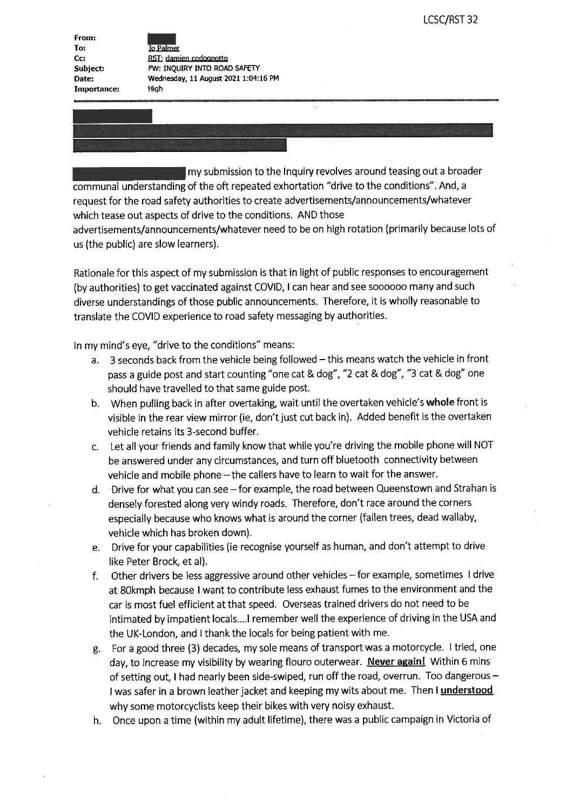From: To: C<sub>G</sub> Subject: Date Importance:

^ 19 Palmer RST; damien codoonotto Fw: INQUIRY INTO ROAD SAFErY Wednesday, 11 August 2021 1:04:16 PM High

communal understanding of the oft repeated exhortation "drive to the conditions". And, a request for the road safety authorities to create advertisements/announcements/whatever which tease out aspects of drive to the conditions. AND those my submission to the Inquiry revolves around teasing out a broader

advertisements/announcements/whatever need to be on high rotation (primarily because lots of us (the public) are slow learners).

Rationale for this aspect of my submission is that in light of public responses to encouragement (by authorities) to get vaccinated against CoVID, I can hear and see soooooo many and such diverse understandings of those public announcements. Therefore, it is wholly reasonable to translate the CoVID experience to road safety messaging by authorities

In my mind's eye, "drive to the conditions" means:

- a. 3 seconds back from the vehicle being followed this means watch the vehicle in front pass a guide post and start counting "one cat & dog", "2 cat & dog", "3 cat & dog' one should have travelled to that same guide post.
- b. When pulling back in after overtaking, wait until the overtaken vehicle's whole front is visible in the rear view mirror (ie, don't just cut back in). Added benefit is the overtaken vehicle retains its 3-second buffer.
- c. Let all Your friends and family know that while you're driving the mobile phone will NOT be answered under any circumstances, and turn off bluetooth connectivity between vehicle and mobile phone - the callers have to learn to wait for the answer.
- d. Drive for what you can see for example, the road between Queenstown and Strahan is densely forested along very windy roads. Therefore, don't race around the corners especially because who knows what is around the corner (fallen trees, dead wallaby, vehicle which has broken down)
- e. Drive for your capabilities (ie recognise yourself as human, and don't attempt to drive like Peter Brock, at al).
- f. Other drivers be less aggressive around other vehicles for example, sometimes I drive at 80kmph because I want to contribute less exhaust fumes to the environment and the car is most fuel efficient at that speed. Overseas trained drivers do not need to be intimated by impatient locals. ... I remember well the experience of driving in the USA and the UK-London, and I thank the locals for being patient with me
- g. For a good three (3) decades, my sole means of transport was a motorcycle. I tried, one day, to increase my visibility by wearing flouro outerwear. Never again! Within 6 mins of setting out, I had nearly been side-swiped, run off the road, overrun. Too dangerous why some motorcyclists keep their bikes with very noisy exhaust. I was safer in a brown leather jacket and keeping my wits about me. Then I understood
- h. Once upon a time (within my adult lifetime), there was a public campaign in Victoria of